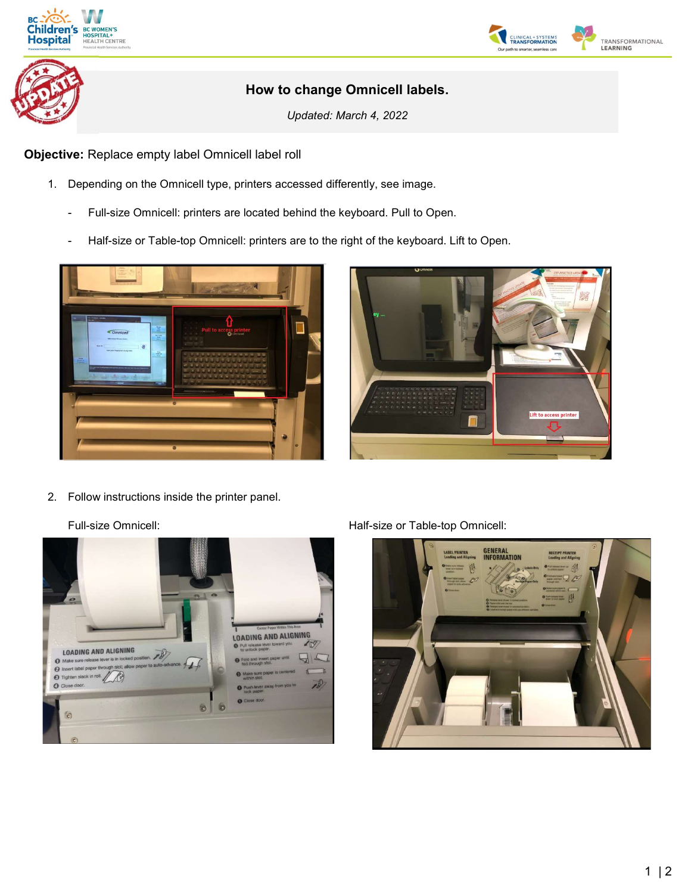





# How to change Omnicell labels.

Updated: March 4, 2022

Objective: Replace empty label Omnicell label roll

- 1. Depending on the Omnicell type, printers accessed differently, see image.
	- Full-size Omnicell: printers are located behind the keyboard. Pull to Open.
	- Half-size or Table-top Omnicell: printers are to the right of the keyboard. Lift to Open.





2. Follow instructions inside the printer panel.



## Full-size Omnicell: The South of the Half-size or Table-top Omnicell: